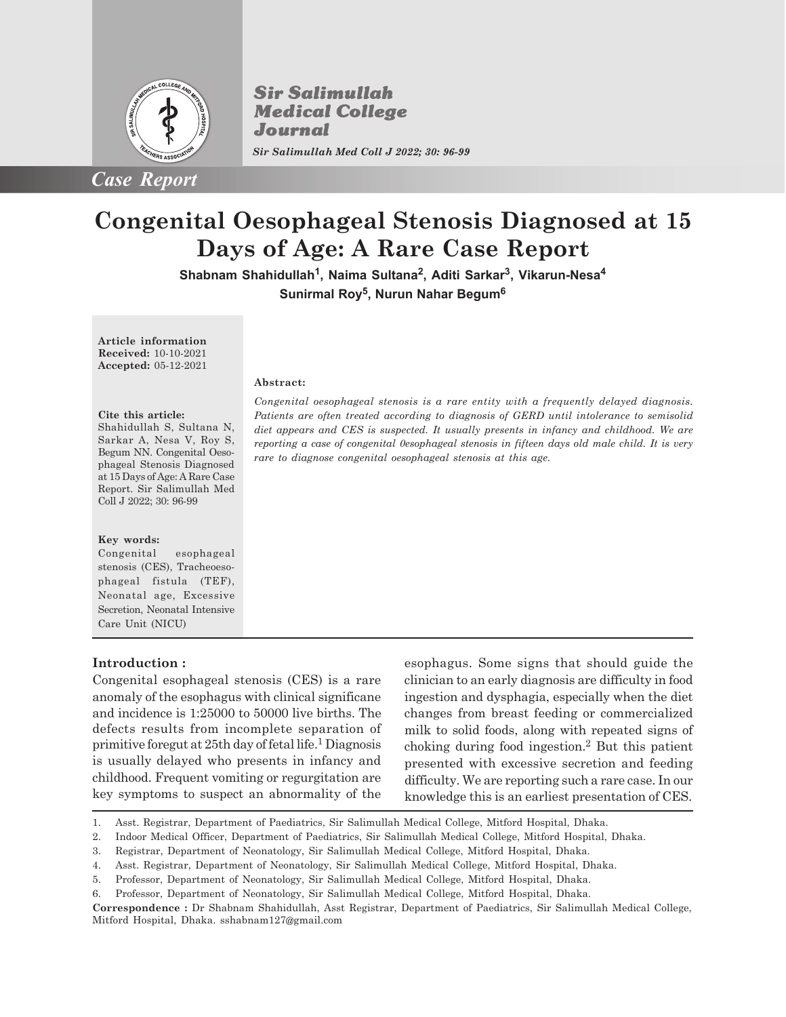

*Case Report*

**Sir Salimullah Medical College** Journal *Sir Salimullah Med Coll J 2022; 30: 96-99*

# **Congenital Oesophageal Stenosis Diagnosed at 15 Days of Age: A Rare Case Report**

**Shabnam Shahidullah<sup>1</sup> , Naima Sultana<sup>2</sup> , Aditi Sarkar<sup>3</sup> , Vikarun-Nesa<sup>4</sup> Sunirmal Roy<sup>5</sup> , Nurun Nahar Begum<sup>6</sup>**

**Article information Received:** 10-10-2021 **Accepted:** 05-12-2021

#### **Cite this article:**

Shahidullah S, Sultana N, Sarkar A, Nesa V, Roy S, Begum NN. Congenital Oesophageal Stenosis Diagnosed at 15 Days of Age: A Rare Case Report. Sir Salimullah Med Coll J 2022; 30: 96-99

#### **Key words:**

Congenital esophageal stenosis (CES), Tracheoesophageal fistula (TEF), Neonatal age, Excessive Secretion, Neonatal Intensive Care Unit (NICU)

### **Introduction :**

Congenital esophageal stenosis (CES) is a rare anomaly of the esophagus with clinical significane and incidence is 1:25000 to 50000 live births. The defects results from incomplete separation of primitive foregut at 25th day of fetal life.<sup>1</sup> Diagnosis is usually delayed who presents in infancy and childhood. Frequent vomiting or regurgitation are key symptoms to suspect an abnormality of the

**Abstract:**

esophagus. Some signs that should guide the clinician to an early diagnosis are difficulty in food ingestion and dysphagia, especially when the diet changes from breast feeding or commercialized milk to solid foods, along with repeated signs of choking during food ingestion.<sup>2</sup> But this patient presented with excessive secretion and feeding difficulty. We are reporting such a rare case. In our knowledge this is an earliest presentation of CES.

5. Professor, Department of Neonatology, Sir Salimullah Medical College, Mitford Hospital, Dhaka.

*Congenital oesophageal stenosis is a rare entity with a frequently delayed diagnosis. Patients are often treated according to diagnosis of GERD until intolerance to semisolid diet appears and CES is suspected. It usually presents in infancy and childhood. We are reporting a case of congenital 0esophageal stenosis in fifteen days old male child. It is very rare to diagnose congenital oesophageal stenosis at this age.*

<sup>1.</sup> Asst. Registrar, Department of Paediatrics, Sir Salimullah Medical College, Mitford Hospital, Dhaka.

<sup>2.</sup> Indoor Medical Officer, Department of Paediatrics, Sir Salimullah Medical College, Mitford Hospital, Dhaka.

<sup>3.</sup> Registrar, Department of Neonatology, Sir Salimullah Medical College, Mitford Hospital, Dhaka.

<sup>4.</sup> Asst. Registrar, Department of Neonatology, Sir Salimullah Medical College, Mitford Hospital, Dhaka.

<sup>6.</sup> Professor, Department of Neonatology, Sir Salimullah Medical College, Mitford Hospital, Dhaka.

**Correspondence :** Dr Shabnam Shahidullah, Asst Registrar, Department of Paediatrics, Sir Salimullah Medical College, Mitford Hospital, Dhaka. sshabnam127@gmail.com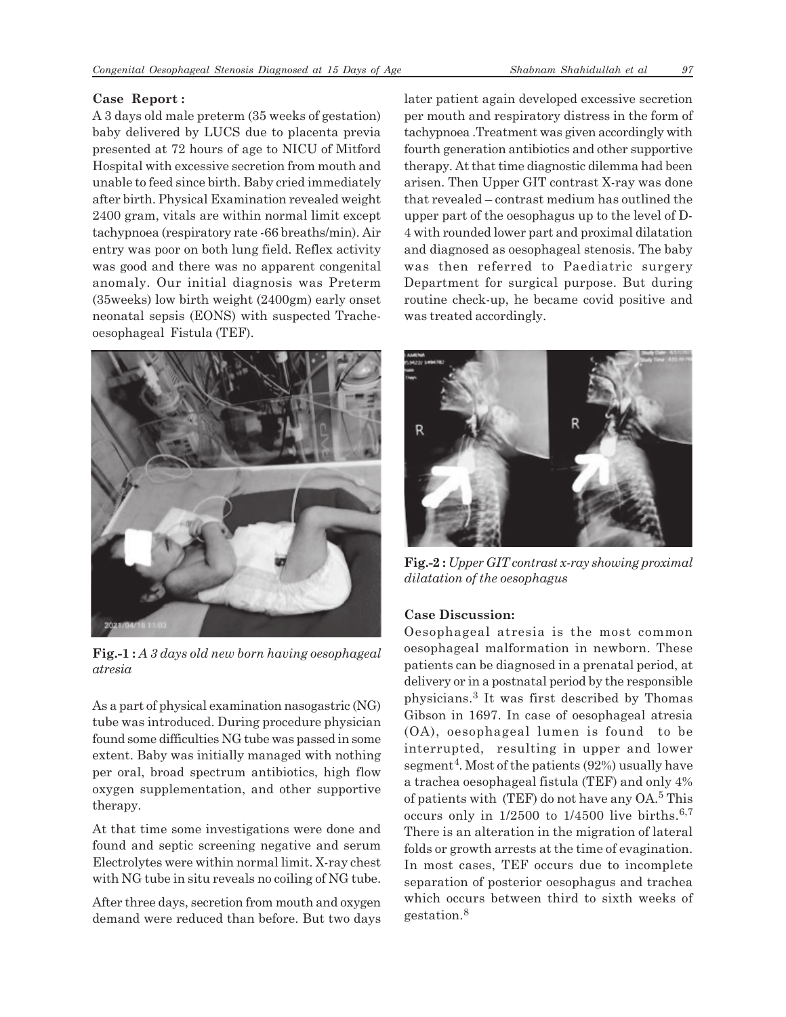## **Case Report :**

A 3 days old male preterm (35 weeks of gestation) baby delivered by LUCS due to placenta previa presented at 72 hours of age to NICU of Mitford Hospital with excessive secretion from mouth and unable to feed since birth. Baby cried immediately after birth. Physical Examination revealed weight 2400 gram, vitals are within normal limit except tachypnoea (respiratory rate -66 breaths/min). Air entry was poor on both lung field. Reflex activity was good and there was no apparent congenital anomaly. Our initial diagnosis was Preterm (35weeks) low birth weight (2400gm) early onset neonatal sepsis (EONS) with suspected Tracheoesophageal Fistula (TEF).



**Fig.-1 :** *A 3 days old new born having oesophageal atresia*

As a part of physical examination nasogastric (NG) tube was introduced. During procedure physician found some difficulties NG tube was passed in some extent. Baby was initially managed with nothing per oral, broad spectrum antibiotics, high flow oxygen supplementation, and other supportive therapy.

At that time some investigations were done and found and septic screening negative and serum Electrolytes were within normal limit. X-ray chest with NG tube in situ reveals no coiling of NG tube.

After three days, secretion from mouth and oxygen demand were reduced than before. But two days later patient again developed excessive secretion per mouth and respiratory distress in the form of tachypnoea .Treatment was given accordingly with fourth generation antibiotics and other supportive therapy. At that time diagnostic dilemma had been arisen. Then Upper GIT contrast X-ray was done that revealed – contrast medium has outlined the upper part of the oesophagus up to the level of D-4 with rounded lower part and proximal dilatation and diagnosed as oesophageal stenosis. The baby was then referred to Paediatric surgery Department for surgical purpose. But during routine check-up, he became covid positive and was treated accordingly.



**Fig.-2 :** *Upper GIT contrast x-ray showing proximal dilatation of the oesophagus*

# **Case Discussion:**

Oesophageal atresia is the most common oesophageal malformation in newborn. These patients can be diagnosed in a prenatal period, at delivery or in a postnatal period by the responsible physicians.<sup>3</sup> It was first described by Thomas Gibson in 1697. In case of oesophageal atresia (OA), oesophageal lumen is found to be interrupted, resulting in upper and lower segment<sup>4</sup>. Most of the patients (92%) usually have a trachea oesophageal fistula (TEF) and only 4% of patients with (TEF) do not have any OA.<sup>5</sup> This occurs only in  $1/2500$  to  $1/4500$  live births.<sup>6,7</sup> There is an alteration in the migration of lateral folds or growth arrests at the time of evagination. In most cases, TEF occurs due to incomplete separation of posterior oesophagus and trachea which occurs between third to sixth weeks of gestation.<sup>8</sup>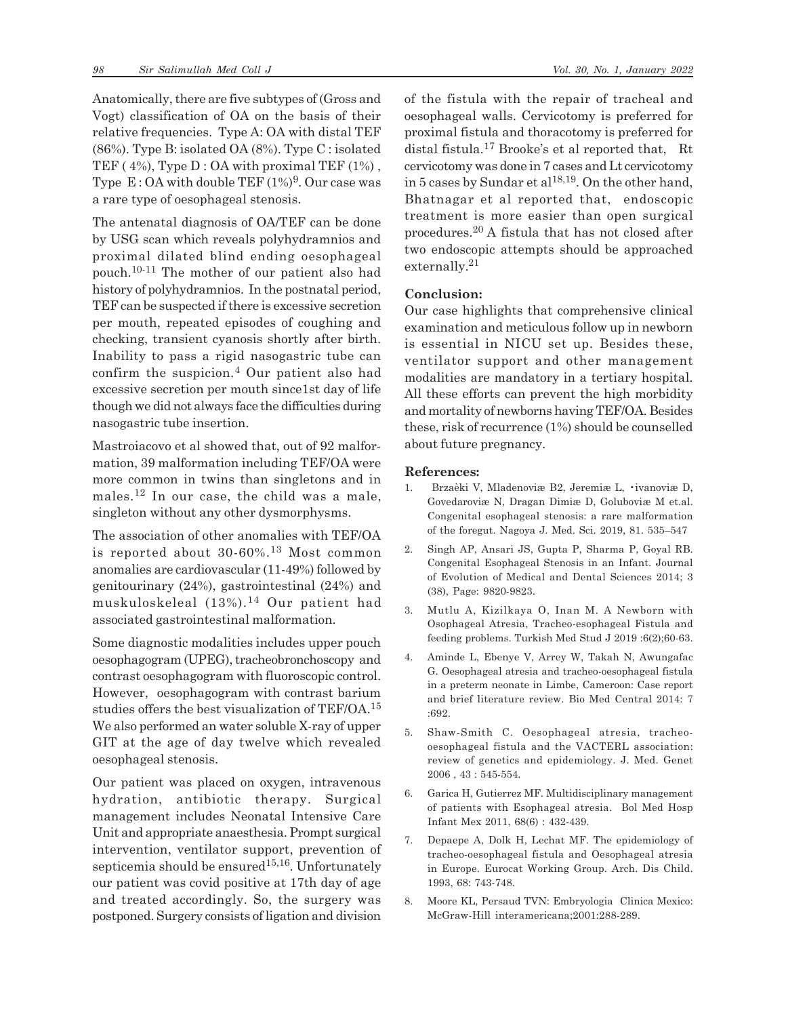Anatomically, there are five subtypes of (Gross and Vogt) classification of OA on the basis of their relative frequencies. Type A: OA with distal TEF (86%). Type B: isolated OA (8%). Type C : isolated TEF ( $4\%$ ), Type D : OA with proximal TEF ( $1\%$ ), Type  $\,\mathrm{E}\!:\!\mathrm{OA}$  with double TEF (1%) $^9$ . Our case was a rare type of oesophageal stenosis.

The antenatal diagnosis of OA/TEF can be done by USG scan which reveals polyhydramnios and proximal dilated blind ending oesophageal pouch. 10-11 The mother of our patient also had history of polyhydramnios. In the postnatal period, TEF can be suspected if there is excessive secretion per mouth, repeated episodes of coughing and checking, transient cyanosis shortly after birth. Inability to pass a rigid nasogastric tube can confirm the suspicion.<sup>4</sup> Our patient also had excessive secretion per mouth since1st day of life though we did not always face the difficulties during nasogastric tube insertion.

Mastroiacovo et al showed that, out of 92 malformation, 39 malformation including TEF/OA were more common in twins than singletons and in males.12 In our case, the child was a male, singleton without any other dysmorphysms.

The association of other anomalies with TEF/OA is reported about 30-60%.13 Most common anomalies are cardiovascular (11-49%) followed by genitourinary (24%), gastrointestinal (24%) and muskuloskeleal (13%).14 Our patient had associated gastrointestinal malformation.

Some diagnostic modalities includes upper pouch oesophagogram (UPEG), tracheobronchoscopy and contrast oesophagogram with fluoroscopic control. However, oesophagogram with contrast barium studies offers the best visualization of TEF/OA.<sup>15</sup> We also performed an water soluble X-ray of upper GIT at the age of day twelve which revealed oesophageal stenosis.

Our patient was placed on oxygen, intravenous hydration, antibiotic therapy. Surgical management includes Neonatal Intensive Care Unit and appropriate anaesthesia. Prompt surgical intervention, ventilator support, prevention of septicemia should be ensured<sup>15,16</sup>. Unfortunately our patient was covid positive at 17th day of age and treated accordingly. So, the surgery was postponed. Surgery consists of ligation and division of the fistula with the repair of tracheal and oesophageal walls. Cervicotomy is preferred for proximal fistula and thoracotomy is preferred for distal fistula. <sup>17</sup> Brooke's et al reported that, Rt cervicotomy was done in 7 cases and Lt cervicotomy in 5 cases by Sundar et al<sup>18,19</sup>. On the other hand, Bhatnagar et al reported that, endoscopic treatment is more easier than open surgical procedures.20 A fistula that has not closed after two endoscopic attempts should be approached externally.<sup>21</sup>

## **Conclusion:**

Our case highlights that comprehensive clinical examination and meticulous follow up in newborn is essential in NICU set up. Besides these, ventilator support and other management modalities are mandatory in a tertiary hospital. All these efforts can prevent the high morbidity and mortality of newborns having TEF/OA. Besides these, risk of recurrence (1%) should be counselled about future pregnancy.

## **References:**

- 1. Brzaèki V, Mladenoviæ B2, Jeremiæ L, •ivanoviæ D, Govedaroviæ N, Dragan Dimiæ D, Goluboviæ M et.al. Congenital esophageal stenosis: a rare malformation of the foregut. Nagoya J. Med. Sci. 2019, 81. 535–547
- 2. Singh AP, Ansari JS, Gupta P, Sharma P, Goyal RB. Congenital Esophageal Stenosis in an Infant. Journal of Evolution of Medical and Dental Sciences 2014; 3 (38), Page: 9820-9823.
- 3. Mutlu A, Kizilkaya O, Inan M. A Newborn with Osophageal Atresia, Tracheo-esophageal Fistula and feeding problems. Turkish Med Stud J 2019 :6(2);60-63.
- 4. Aminde L, Ebenye V, Arrey W, Takah N, Awungafac G. Oesophageal atresia and tracheo-oesophageal fistula in a preterm neonate in Limbe, Cameroon: Case report and brief literature review. Bio Med Central 2014: 7 :692.
- 5. Shaw-Smith C. Oesophageal atresia, tracheooesophageal fistula and the VACTERL association: review of genetics and epidemiology. J. Med. Genet 2006 , 43 : 545-554.
- 6. Garica H, Gutierrez MF. Multidisciplinary management of patients with Esophageal atresia. Bol Med Hosp Infant Mex 2011, 68(6) : 432-439.
- 7. Depaepe A, Dolk H, Lechat MF. The epidemiology of tracheo-oesophageal fistula and Oesophageal atresia in Europe. Eurocat Working Group. Arch. Dis Child. 1993, 68: 743-748.
- 8. Moore KL, Persaud TVN: Embryologia Clinica Mexico: McGraw-Hill interamericana;2001:288-289.